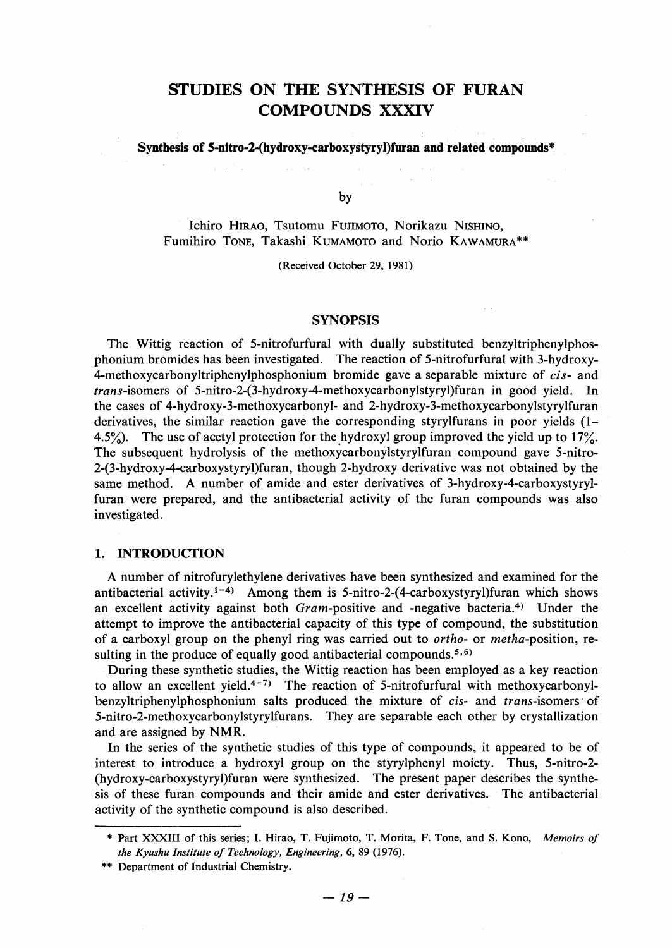# STUDIES ON THE SYNTHESIS OF FURAN COMPOUNDS XXXIV

## Synthesis of 5-nitro-2-(hydroxy-carboxystyryl)furan and related compounds\*

by

Ichiro Hirao, Tsutomu Fujimoto, Norikazu Nishino, Fumihiro TONE, Takashi KUMAMOTO and Norio KAWAMURA\*\*

(Received October 29, l981)

#### **SYNOPSIS**

 The Wittig reaction of 5-nitrofurfural with dually substituted benzyltriphenylphosphonium bromides has been investigated. The reaction of 5-nitrofurfural with 3-hydroxy-4-methoxycarbonyltriphenylphosphonium bromide gave a separable mixture of *cis*- and trans-isomers of 5-nitro-2-(3-hydroxy-4-methoxycarbonylstyryl)furan in good yield. In the cases of 4-hydroxy-3-methoxycarbonyl- and 2-hydroxy-3-methoxycarbonylstyrylfuran derivatives, the similar reaction gave the corresponding styrylfurans in poor yields  $(1 -$ 4.5%). The use of acetyl protection for the hydroxyl group improved the yield up to  $17\%$ . The subsequent hydrolysis of the methoxycarbonylstyrylfuran compound gave 5-nitro-2-(3-hydroxy-4-carboxystyryl)furan, though 2-hydroxy derivative was not obtained by the same method. A number of amide and ester derivatives of 3-hydroxy-4-carboxystyrylfuran were prepared, and the antibacterial activity of the furan compounds was also investigated.

## 1. INTRODUCTION

 A number of nitrofurylethylene derivatives have been synthesized and examined for the antibacterial activity.<sup>1-4)</sup> Among them is 5-nitro-2-(4-carboxystyryl)furan which shows an excellent activity against both  $Gram$ -positive and -negative bacteria.<sup>4)</sup> Under the attempt to improve the antibacterial capacity of this type of compound, the substitution of a carboxyl group on the phenyl ring was carried out to ortho- or metha-position, resulting in the produce of equally good antibacterial compounds.<sup>5,6)</sup>

 During these synthetic studies, the Wittig reaction has been employed as a key reaction to allow an excellent yield.<sup>4-7)</sup> The reaction of 5-nitrofurfural with methoxycarbonylbenzyltriphenylphosphonium salts produced the mixture of cis- and trans-isomers'of 5-nitro-2-methoxycarbonylstyrylfurans. They are separable each other by crystallization and are assigned by NMR.

 In the series of the synthetic studies of this type of compounds, it appeared to be of interest to introduce a hydroxyl group on the styrylphenyl moiety. Thus, 5-nitro-2- (hydroxy-carboxystyryl)furan were synthesized. The present paper describes the synthesis of these furan compounds and their amide and ester derivatives. The antibacterial activity of the synthetic compound is also described.

 <sup>\*</sup> Part XXXIII of this series; I. Hirao, T, Fujimoto, T. Morita, F. Tone, and S, Kono, Memoirs of the Kyushu Institute of Technology, Engineering, 6, 89 (1976).

<sup>\*\*</sup> Department of Industrial Chemistry.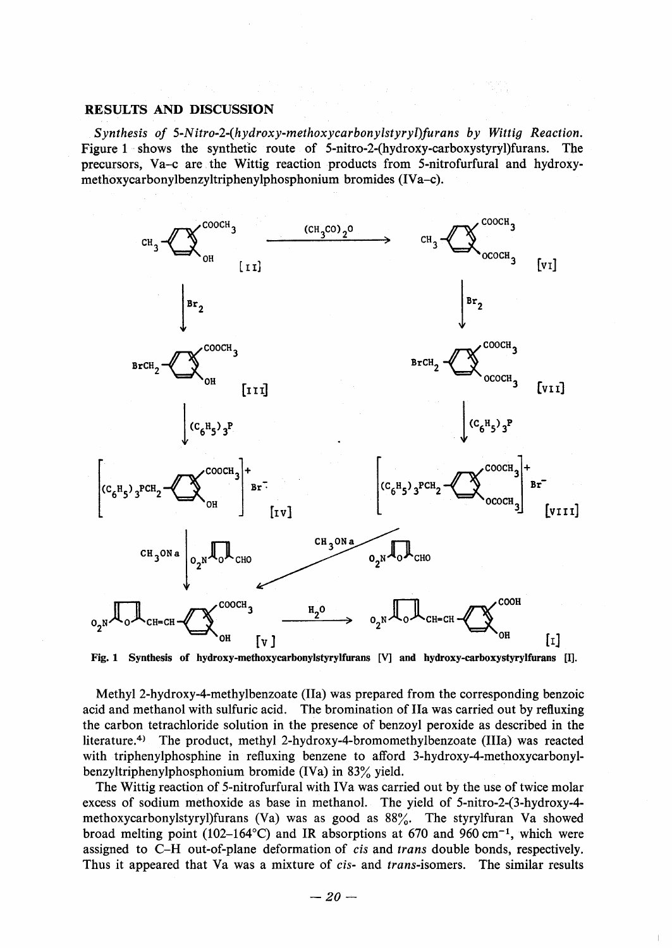# RESULTS AND DISCUSSION

 Synthesis of 5-Nitro-2-(hydroxy-methoxycarbonylstyryl)furans by Wittig Reaction. Figure 1 shows the synthetic route of 5-nitro-2-(hydroxy-carboxystyry) furans. The precursors, Va-c are.the Wittig reaction products from 5-nitrofurfural and hydroxymethoxycarbonylbenzyltriphenylphosphonium bromides (IVa-c).



Fig. 1 Synthesis of hydroxy-methoxycarbonylstyrylfurans [V] and hydroxy-carboxystyrylfurans [Il.

 Methyl 2-hydroxy-4-methylbenzoate (IIa) was prepared from the corresponding benzoic acid and methanol with sulfuric acid. The bromination of IIa was carried out by refluxing the carbon tetrachloride solution in the presence of benzoyl peroxide as described in the literature.4) The product, methyl 2-hydroxy-4-bromomethylbenzoate (IIIa) was reacted with triphenylphosphine in refluxing benzene to afford 3-hydroxy-4-methoxycarbonylbenzyltriphenylphosphonium bromide (IVa) in 83% yield.

 The Wittig reaction of 5-nitrofurfural with IVa was carried out by the use of twice molar excess of sodium methoxide as base in methanol. The yield of 5-nitro-2-(3-hydroxy-4 methoxycarbonylstyryl)furans (Va) was as good as  $88\%$ . The styrylfuran Va showed broad melting point (102–164°C) and IR absorptions at 670 and 960 cm<sup>-1</sup>, which were assigned to C-H out-of-plane deformation of cis and trans double bonds, respectively. Thus it appeared that Va was a mixture of cis- and trans-isomers. The similar results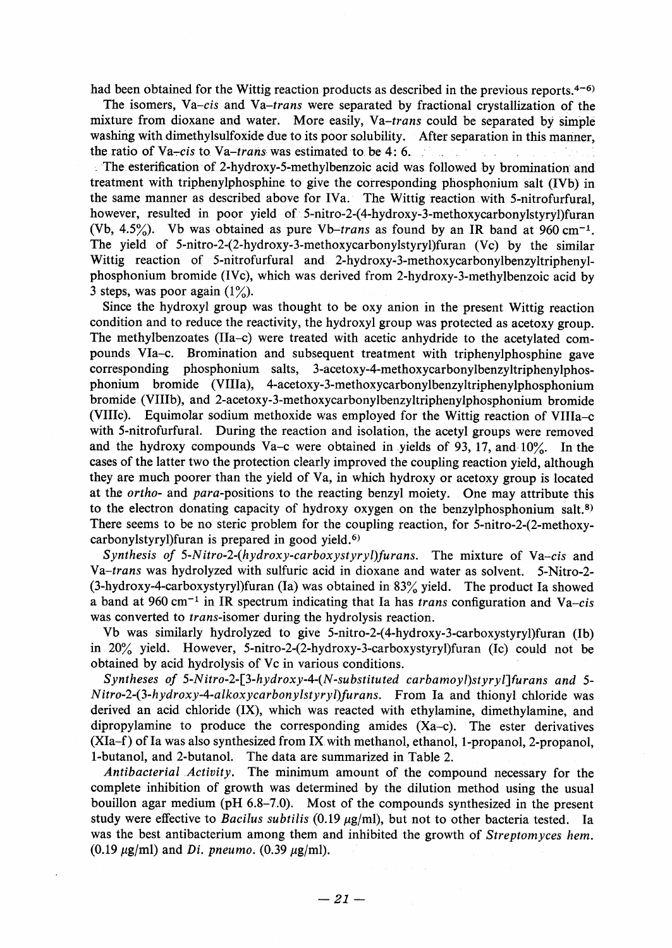had been obtained for the Wittig reaction products as described in the previous reports.<sup>4-6)</sup>

 The isomers, Va-cis and Va-trans were separated by fractional crystallization of the mixture from dioxane and water. More easily,  $Va-trans$  could be separated by simple washing with dimethylsulfoxide due to its poor solubility. After separation in this manner, the ratio of Va-cis to Va-trans was estimated to be 4: 6.

 L 'The esterification of, 2-hydroxy-5-methylbenzoic acid was followed by bromination and treatment with triphenylphosphine to give the corresponding phosphonium salt (IVb) in the same manner as described above for IVa. The Wittig reaction with 5-nitrofurfural, however, resulted in poor yield of 5-nitro-2-(4-hydroxy-3-methoxycarbonylstyryl)furan (Vb, 4.5%). Vb was obtained as pure Vb-trans as found by an IR band at 960 cm<sup>-1</sup>. The yield of 5-nitro-2-(2-hydroxy-3-methoxycarbonylstyryl)furan (Vc) by the similar Wittig reaction of 5-nitrofurfural and 2-hydroxy-3-methoxycarbonylbenzyltriphenylphosphonium bromide (IVc), which was derived from 2-hydroxy-3-methylbenzoic acid by 3 steps, was poor again  $(1\%)$ .

 Since the hydroxyl group was thought to be oxy anjon in the present Wittig reaction condition and to reduce the reactivity, the hydroxyl group was protected as acetoxy group. The methylbenzoates (IIa-c) were treated with acetic anhydride to the acetylated compounds VIa-c. Bromination and subsequent treatment with triphenylphosphine gave<br>corresponding phosphonium salts, 3-acetoxy-4-methoxycarbonylbenzyltriphenylphos-3-acetoxy-4-methoxycarbonylbenzyltriphenylphosphonium bromide (VIIIa), 4-acetoxy-3-methoxycarbonylbenzyltriphenylphosphonium bromide (VIIIb), and 2-acetoxy-3-methoxycarbonylbenzyltriphenylphosphonium bromide (VIIIc). Equimolar sodium methoxide was employed for the Wittig reaction of VIIIa-c with 5-nitrofurfural. During the reaction and isolation, the acetyl groups were removed and the hydroxy compounds Va-c were obtained in yields of 93, 17, and  $10\%$ . In the cases of the latter two the protection clearly improved the coupling reaction yield, although they are much poorer than the yield of Va, in which hydroxy or acetoxy graup is located at the *ortho-* and *para-positions* to the reacting benzyl moiety. One may attribute this to the electron donating capacity of hydroxy oxygen on the benzylphosphonium salt.8) There seems to be no steric problem for the coupling reaction, for 5-nitro-2-(2-methoxycarbonylstyryl)furan is prepared in good yield. $6$ )

Synthesis of 5-Nitro-2-(hydroxy-carboxystyryl)furans. The mixture of Va-cis and Va-trans was hydrolyzed with sulfuric acid in dioxane and water as solvent. 5-Nitro-2-  $(3-hydroxy-4-carboxystyryl)$ furan (Ia) was obtained in 83% yield. The product Ia showed a band at 960 cm<sup>-1</sup> in IR spectrum indicating that Ia has *trans* configuration and Va-cis was converted to trans-isomer during the hydrolysis reaction.

 Vb was similarly hydrolyzed to give 5-nitro-2-(4-hydroxy-3-carboxystyryl)furan (Ib) in  $20\%$  yield. However, 5-nitro-2-(2-hydroxy-3-carboxystyryl) furan (Ic) could not be obtained by acid hydrolysis of Vc in various conditions.

 Syntheses of 5-Nitro-2-[3-hydroxy-4-(N-substituted carbamoyl)styryl]furans and 5- Nitro-2-(3-hydroxy4-alkoxycarbonylstyryl)furans. From Ia and thionyl chloride was derived an acid chloride (IX), which was reacted with ethylamine, dimethylamine, and dipropylamine to produce the corresponding amides (Xa-c). The ester derivatives (XIa-f) of Ia was also synthesized from IX with methanol, ethanol, 1-propanol, 2-propanol, 1-butanol, and 2-butanol. The data are summarized in Table 2.

 Antibacterial Activity. The minimum amount of the compound necessary for the complete inhibition of growth was determined by the dilution method using the usual bouillon agar medium (pH 6.8-7.0). Most of the compounds synthesized in the present study were effective to Bacilus subtilis (0.19  $\mu$ g/ml), but not to other bacteria tested. Ia was the best antibacterium among them and inhibited the growth of Streptomyces hem. (0.19  $\mu$ g/ml) and *Di. pneumo.* (0.39  $\mu$ g/ml).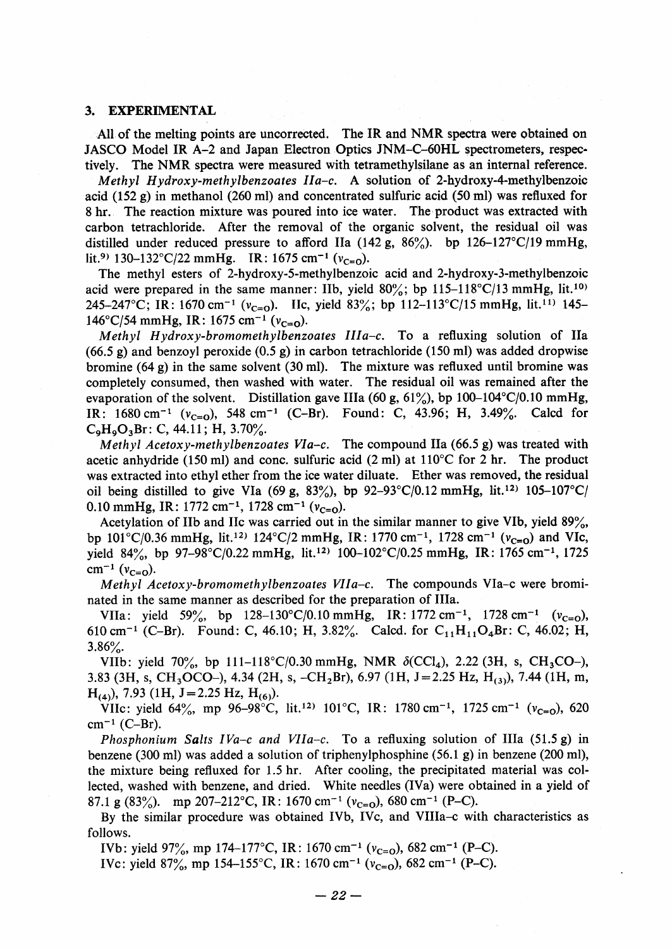### 3. EXPERIMENTAL

All of the melting points are uncorrected. The IR and NMR spectra were obtained on JASCO Model IR A-2 and Japan Electron Optics JNM-C-60HL \$pectrometers, respectively. The NMR spectra were measured with tetramethylsilane as an internal reference.

Methyl Hydroxy-methylbenzoates  $IIa-c$ . A solution of 2-hydroxy-4-methylbenzoic acid (152 g) in methanol (260 ml) and concentrated sulfuric acid (50 ml) was refiuxed for 8 hr.. The reaction mixture was poured into ice water. The•product was extracted with carbon tetrachloride. After the removal of the organic solvent, the residual oil was distilled under reduced pressure to afford IIa (142 g,  $86\%$ ). bp 126-127°C/19 mmHg, lit.<sup>9)</sup> 130–132°C/22 mmHg. IR: 1675 cm<sup>-1</sup> ( $v_{c=0}$ ).

 The methyl esters of 2-hydroxy-5-methylbenzoic acid and 2-hydroxy-3-methylbenzoic acid were prepared in the same manner: IIb, yield  $80\%$ ; bp 115-118°C/13 mmHg, lit.<sup>10)</sup> 245-247°C; IR: 1670 cm<sup>-1</sup> ( $v_{c=0}$ ). Hc, yield 83%; bp 112-113°C/15 mmHg, lit.<sup>11)</sup> 145-146°C/54 mmHg, IR: 1675 cm<sup>-1</sup> ( $v_{c=0}$ ).

Methyl Hydroxy-bromomethylbenzoates  $IIa-c$ . To a refluxing solution of IIa  $(66.5 \text{ g})$  and benzoyl peroxide  $(0.5 \text{ g})$  in carbon tetrachloride (150 ml) was added dropwise bromine  $(64 \text{ g})$  in the same solvent  $(30 \text{ ml})$ . The mixture was refluxed until bromine was completely consumed, then washed with water. The residual oil was remained after the evaporation of the solvent. Distillation gave IIIa (60 g,  $61\%$ ), bp 100–104°C/0.10 mmHg, IR:  $1680 \text{ cm}^{-1}$  ( $v_{C=0}$ ), 548 cm<sup>-1</sup> (C-Br). Found: C, 43.96; H, 3.49%. Calcd for  $C_9H_9O_3Br$ : C, 44.11; H, 3.70%.

Methyl Acetoxy-methylbenzoates VIa-c. The compound IIa (66.5 g) was treated with acetic anhydride (150 ml) and conc. sulfuric acid (2 ml) at  $110^{\circ}$ C for 2 hr. The product was extracted into ethyl ether from the ice water diluate. Ether was removed, the residual oil being distilled to give VIa (69 g, 83%), bp 92-93°C/0.12 mmHg, lit.<sup>12)</sup> 105-107°C/ 0.10 mmHg, IR:  $1772 \text{ cm}^{-1}$ ,  $1728 \text{ cm}^{-1}$  ( $v_{\text{C=0}}$ ).

Acetylation of IIb and IIc was carried out in the similar manner to give VIb, yield 89%, bp  $101^{\circ}C/0.36$  mmHg, lit.<sup>12)</sup>  $124^{\circ}C/2$  mmHg, IR:  $1770$  cm<sup>-1</sup>,  $1728$  cm<sup>-1</sup> ( $v_{c=0}$ ) and VIc, yield 84%, bp 97-98°C/0.22 mmHg, lit.<sup>12)</sup> 100-102°C/0.25 mmHg, IR: 1765 cm<sup>-1</sup>, 1725  $cm^{-1}$  ( $v_{C=0}$ ).

 Methyl Acetoxy-bromomethylbenzoates VIIa-c. The compounds VIa-c were brominated in the same manner as described for the preparation of IIIa.

VIIa: yield 59%, bp  $128-130^{\circ}C/0.10 \text{ mmHg}$ , IR:  $1772 \text{ cm}^{-1}$ ,  $1728 \text{ cm}^{-1}$  ( $v_{c=0}$ ), 610 cm<sup>-1</sup> (C-Br). Found: C, 46.10; H, 3.82%. Calcd. for C<sub>11</sub>H<sub>11</sub>O<sub>4</sub>Br: C, 46.02; H,  $3.86%$ .

VIIb: yield 70%, bp 111-118°C/0.30 mmHg, NMR  $\delta$ (CCl<sub>4</sub>), 2.22 (3H, s, CH<sub>3</sub>CO-), 3.83 (3H, s, CH<sub>3</sub>OCO-), 4.34 (2H, s, -CH<sub>2</sub>Br), 6.97 (1H, J = 2.25 Hz, H<sub>(3)</sub>), 7.44 (1H, m,  $H_{(4)}$ , 7.93 (1H, J = 2.25 Hz,  $H_{(6)}$ ).

VIIc: yield 64%, mp 96-98°C, lit.<sup>12)</sup> 101°C, IR: 1780 cm<sup>-1</sup>, 1725 cm<sup>-1</sup> (v<sub>c=0</sub>), 620  $cm^{-1}$  (C-Br).

*Phosphonium Salts IVa-c and VIIa-c.* To a refluxing solution of IIIa (51.5 g) in benzene (300 ml) was added a solution of triphenylphosphine (56.1 g) in benzene (200 ml), the mixture being refiuxed for 1.5 hr. After cooling, the precipitated material was collected, washed with benzene, and dried. White needles (IVa) were obtained in a yield of 87.1 g (83%). mp 207-212°C, IR: 1670 cm<sup>-1</sup> ( $v_{C=0}$ ), 680 cm<sup>-1</sup> (P-C).

 By the similar procedure was obtained IVb, IVc, and VIIIa-c with characteristics as follows.

IVb: yield 97%, mp 174-177°C, IR: 1670 cm<sup>-1</sup> ( $v_{C=0}$ ), 682 cm<sup>-1</sup> (P-C).

IVc: yield 87%, mp 154-155°C, IR: 1670 cm<sup>-1</sup> ( $v_{C=0}$ ), 682 cm<sup>-1</sup> (P-C).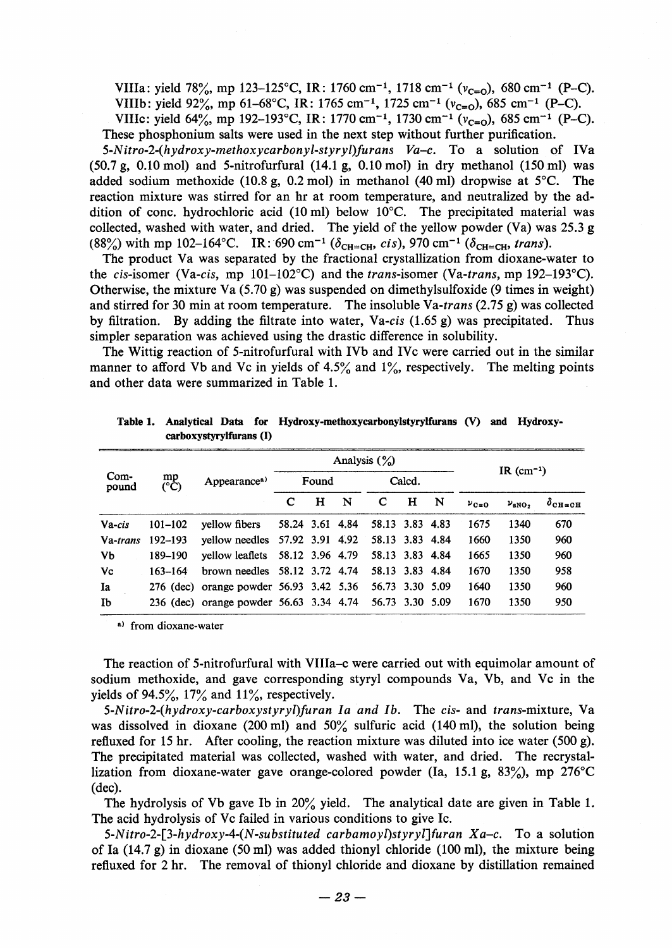VIIIa: yield 78%, mp 123-125°C, IR: 1760 cm<sup>-1</sup>, 1718 cm<sup>-1</sup> ( $v_{c=0}$ ), 680 cm<sup>-1</sup> (P-C). VIIIb: yield 92%, mp 61-68°C, IR: 1765 cm<sup>-1</sup>, 1725 cm<sup>-1</sup> ( $v_{c=0}$ ), 685 cm<sup>-1</sup> (P-C).

VIIIc: yield  $64\%$ , mp 192–193°C, IR: 1770 cm<sup>-1</sup>, 1730 cm<sup>-1</sup> ( $v_{\text{cm}}$ ), 685 cm<sup>-1</sup> (P-C). These phosphonium salts were used in the next step without further purification.

5-Nitro-2-(hydroxy-methoxycarbonyl-styryl)furans  $Va-c$ . To a solution of IVa  $(50.7 \text{ g}, 0.10 \text{ mol})$  and 5-nitrofurfural  $(14.1 \text{ g}, 0.10 \text{ mol})$  in dry methanol  $(150 \text{ ml})$  was added sodium methoxide (10.8 g, 0.2 mol) in methanol (40 ml) dropwise at  $5^{\circ}$ C. The reaction mixture was stirred for an hr at room temperature, and neutralized by the addition of conc. hydrochloric acid (10 ml) below  $10^{\circ}$ C. The precipitated material was collected, washed with water, and dried. The yield of the yellow powder (Va) was 25.3 g (88%) with mp 102-164°C. IR: 690 cm<sup>-1</sup> ( $\delta_{\text{CH}=\text{CH}}$ , cis), 970 cm<sup>-1</sup> ( $\delta_{\text{CH}=\text{CH}}$ , trans).

 The product Va was separated by the fractional crystallization from djoxane-water to the cis-isomer (Va-cis, mp  $101-102^{\circ}$ C) and the trans-isomer (Va-trans, mp 192–193 $^{\circ}$ C). Otherwise, the mixture Va  $(5.70 \text{ g})$  was suspended on dimethylsulfoxide (9 times in weight) and stirred for 30 min at room temperature. The insoluble Va-trans  $(2.75 \text{ g})$  was collected by filtration. By adding the filtrate into water, Va-cis  $(1.65 g)$  was precipitated. Thus simpler separation was achieved using the drastic difference in solubility.

 The Wittig reaction of 5-nitrofurfural with IVb and IVc were carried out in the similar manner to afford Vb and Vc in yields of  $4.5\%$  and  $1\%$ , respectively. The melting points and other data were summarized in Table 1.

| Com-<br>pound | mp<br>$(^{\circ}\mathrm{C})$ | Appearance <sup>a)</sup>                       | Analysis $(\%)$ |   |   |                 |   |   | IR $(cm-1)$ |                   |                      |
|---------------|------------------------------|------------------------------------------------|-----------------|---|---|-----------------|---|---|-------------|-------------------|----------------------|
|               |                              |                                                | Found           |   |   | Calcd.          |   |   |             |                   |                      |
|               |                              |                                                | C               | Н | N | C               | н | N | $v_{C=0}$   | $\nu_{\rm sNO_2}$ | $\delta_{\rm CH=CH}$ |
| Va-cis        | $101 - 102$                  | yellow fibers                                  | 58.24 3.61 4.84 |   |   | 58.13 3.83 4.83 |   |   | 1675        | 1340              | 670                  |
| Va-trans      | 192–193                      | yellow needles 57.92 3.91 4.92 58.13 3.83 4.84 |                 |   |   |                 |   |   | 1660        | 1350              | 960                  |
| Vb            | 189-190                      | vellow leaflets 58.12 3.96 4.79                |                 |   |   | 58.13 3.83 4.84 |   |   | 1665        | 1350              | 960                  |
| Vc            | $163 - 164$                  | brown needles $58.12$ 3.72 4.74                |                 |   |   | 58.13 3.83 4.84 |   |   | 1670        | 1350              | 958                  |
| Ia            |                              | 276 (dec) orange powder 56.93 3.42 5.36        |                 |   |   | 56.73 3.30 5.09 |   |   | 1640        | 1350              | 960                  |
| Ib            |                              | 236 (dec) orange powder 56.63 3.34 4.74        |                 |   |   | 56.73 3.30 5.09 |   |   | 1670        | 1350              | 950                  |

Table 1. Analytical Data for Hydroxy-methoxycarbonylstyrylfurans (V) and Hydroxycarboxystyrylfurans (I)

a) from dioxane-water

 The reaction of 5-nitrofurfural with VIIIa-c were carried out with equimolar amount of sodium methoxide, and gave corresponding styryl compounds Va, Vb, and Vc in the yields of 94.5%,  $17\%$  and  $11\%$ , respectively.

 5-Nitro-2-(hydroxy-carboxystyryl)furan Ia and Ib. The cis- and trans-mixture, Va was dissolved in dioxane (200 ml) and  $50\%$  sulfuric acid (140 ml), the solution being refluxed for 15 hr. After cooling, the reaction mixture was diluted into ice water (500 g). The precipitated material was collected, washed with water, and dried. The recrystallization from dioxane-water gave orange-colored powder (Ia, 15.1 g,  $83\%$ ), mp 276<sup>o</sup>C (dec).

The hydrolysis of Vb gave Ib in  $20\%$  yield. The analytical date are given in Table 1. The acid hydrolysis of Vc failed in various conditions to give Ic.

5-Nitro-2-[3-hydroxy-4-(N-substituted carbamoyl)styryl]furan  $Xa-c$ . To a solution of Ia  $(14.7 g)$  in dioxane (50 ml) was added thionyl chloride (100 ml), the mixture being refiuxed for 2 hr. The removal of thionyl chloride and dioxane by distillation remained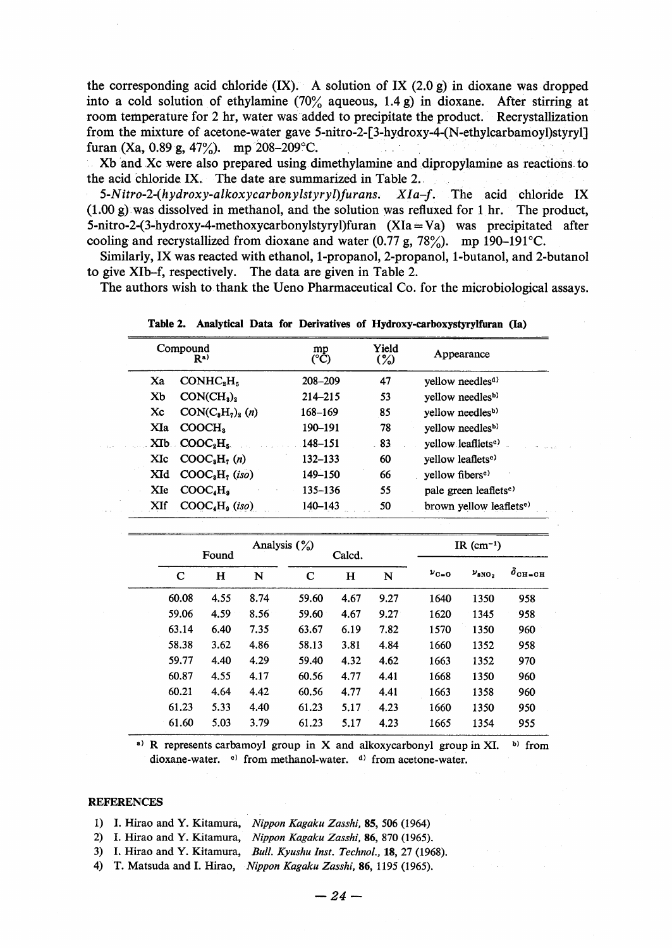the corresponding acid chloride  $(IX)$ . A solution of IX (2.0 g) in dioxane was dropped into a cold solution of ethylamine (70% aqueous, 1.4 g) in dioxane. After stirring at room temperature for 2 hr, water was added to precipitate the product. Recrystallization from the mixture of acetone-water gave 5-nitro-2-[3-hydroxy-4-(N-ethylcarbamoyl)styryl] furan (Xa, 0.89 g, 47%). mp 208-209 °C.

Xb and Xc were also prepared using dimethylamine and dipropylamine as reactions to the acid ehloride IX. The date are summarized in Table 2..

5-Nitro-2-(hydroxy-alkoxycarbonylstyryl)furans.  $XIa-f$ . The acid chloride IX (1.00 g).was dissolved in methanol, and the solution was refluxed for 1 hr. The product, 5-nitro-2-(3-hydroxy-4-methoxycarbonylstyryl)furan (XIa=Va) was precipitated after cooling and recrystallized from dioxane and water  $(0.77 \text{ g}, 78\%)$ . mp 190-191°C.

 Similarly, IX was reacted with ethanol, 1-propanol, 2-propanol, 1-butanol, and 2-butanol to give XIb-f, respectively. The data are given in Table 2.

The authors wish to thank the Ueno Pharmaceutical Co. for the microbiological assays.

|     | Compound<br>R <sup>a)</sup>            | mp<br>(°C) | Yield<br>(%) | Appearance                          |  |
|-----|----------------------------------------|------------|--------------|-------------------------------------|--|
| Xa  | CONHC <sub>s</sub> H <sub>s</sub>      | 208-209    | 47           | yellow needles <sup>d)</sup>        |  |
| Xb  | CON(CH <sub>3</sub> ) <sub>2</sub>     | 214-215    | 53           | vellow needles <sup>b)</sup>        |  |
| Xc  | $CON(CsH2)s$ (n)                       | 168-169    | 85           | vellow needlesb)                    |  |
| XIa | COOCH <sub>3</sub>                     | 190-191    | 78           | yellow needles <sup>b)</sup>        |  |
|     | $X$ Ib $COOC8H5$                       | 148-151    | 83           | yellow leafliets <sup>e)</sup>      |  |
| XIc | COOC <sub>a</sub> H <sub>7</sub> (n)   | 132-133    | 60           | yellow leaflets <sup>e)</sup>       |  |
| XId | COOC <sub>8</sub> H <sub>7</sub> (iso) | 149-150    | 66           | yellow fibers <sup>e)</sup>         |  |
| XIe | COOC.H.                                | 135-136    | 55           | pale green leaflets <sup>e)</sup>   |  |
| XIf | COOC <sub>4</sub> H <sub>9</sub> (iso) | 140-143    | 50           | brown yellow leaflets <sup>e)</sup> |  |
|     |                                        |            |              |                                     |  |

Table2. Analytical Data for Derivatives of Hydroxy-carboxystyrylfuran (Ia)

| Analysis $(\%)$<br>Calcd.<br>Found |      |      |       |      |      | IR $(cm-1)$ |                   |                |  |
|------------------------------------|------|------|-------|------|------|-------------|-------------------|----------------|--|
| C                                  | н    | N    | C     | н    | N    | $v_{C=0}$   | $\nu_{\rm 8NO_2}$ | $\delta$ сн=сн |  |
| 60.08                              | 4.55 | 8.74 | 59.60 | 4.67 | 9.27 | 1640        | 1350              | 958            |  |
| 59.06                              | 4.59 | 8.56 | 59.60 | 4.67 | 9.27 | 1620        | 1345              | 958            |  |
| 63.14                              | 6.40 | 7.35 | 63.67 | 6.19 | 7.82 | 1570        | 1350              | 960            |  |
| 58.38                              | 3.62 | 4.86 | 58.13 | 3.81 | 4.84 | 1660        | 1352              | 958            |  |
| 59.77                              | 4.40 | 4.29 | 59.40 | 4.32 | 4.62 | 1663        | 1352              | 970            |  |
| 60.87                              | 4.55 | 4.17 | 60.56 | 4.77 | 4.41 | 1668        | 1350              | 960            |  |
| 60.21                              | 4.64 | 4.42 | 60.56 | 4.77 | 4.41 | 1663        | 1358              | 960            |  |
| 61.23                              | 5.33 | 4.40 | 61.23 | 5.17 | 4.23 | 1660        | 1350              | 950            |  |
| 61.60                              | 5.03 | 3.79 | 61.23 | 5.17 | 4.23 | 1665        | 1354              | 955            |  |

<sup>a)</sup> R represents carbamoyl group in X and alkoxycarbonyl group in XI. b) from dioxane-water. <sup>e)</sup> from methanol-water. <sup>d)</sup> from acetone-water.

#### **REFERENCES**

- 1) I. Hirao and Y. Kitamura, Nippon Kagaku Zasshi, 85, 506 (1964)
- 2) I. Hirao and Y. Kitamura, Nippon Kagaku Zasshi, 86, 870 (1965).
- 3) I. Hirao and Y. Kitamura, Bull. Kyushu Inst. TeehnoL, 18, 27 (1968).
- 4) T. Matsuda and I. Hirao, Nippon Kagaku Zasshi, 86, 1195 (1965).